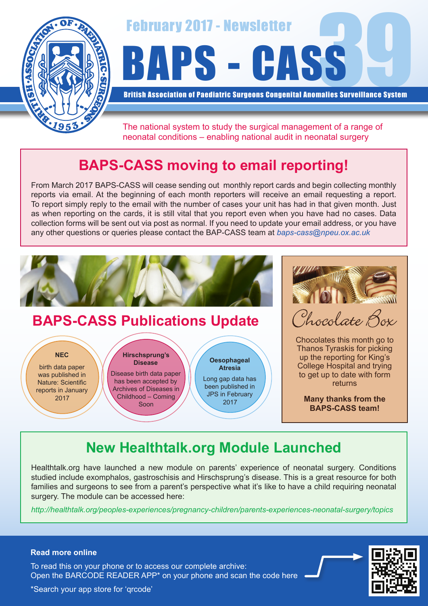



British Association of Paediatric Surgeons Congenital Anomalies Surveillance System

The national system to study the surgical management of a range of neonatal conditions – enabling national audit in neonatal surgery

# **BAPS-CASS moving to email reporting!**

From March 2017 BAPS-CASS will cease sending out monthly report cards and begin collecting monthly reports via email. At the beginning of each month reporters will receive an email requesting a report. To report simply reply to the email with the number of cases your unit has had in that given month. Just as when reporting on the cards, it is still vital that you report even when you have had no cases. Data collection forms will be sent out via post as normal. If you need to update your email address, or you have any other questions or queries please contact the BAP-CASS team at *baps-cass@npeu.ox.ac.uk*



### **BAPS-CASS Publications Update**

**NEC**

birth data paper was published in Nature: Scientific reports in January 2017

**Hirschsprung's Disease**

Disease birth data paper has been accepted by Archives of Diseases in Childhood – Coming Soon

**Oesophageal Atresia** Long gap data has been published in JPS in February 2017

Phocolate Box

Chocolates this month go to Thanos Tyraskis for picking up the reporting for King's College Hospital and trying to get up to date with form returns

**Many thanks from the BAPS-CASS team!**

# **New Healthtalk.org Module Launched**

Healthtalk.org have launched a new module on parents' experience of neonatal surgery. Conditions studied include exomphalos, gastroschisis and Hirschsprung's disease. This is a great resource for both families and surgeons to see from a parent's perspective what it's like to have a child requiring neonatal surgery. The module can be accessed here:

*http://healthtalk.org/peoples-experiences/pregnancy-children/parents-experiences-neonatal-surgery/topics*



#### **Read more online**

Open the BARCODE READER APP\* on your phone and scan the code here To read this on your phone or to access our complete archive:

\*Search your app store for 'qrcode'